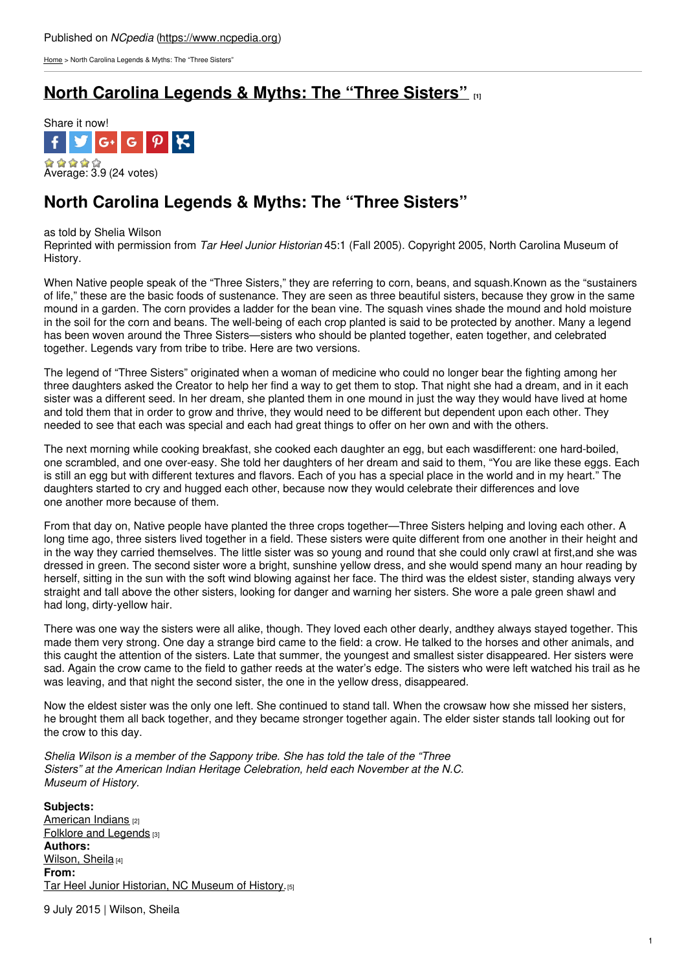[Home](https://www.ncpedia.org/) > North Carolina Legends & Myths: The "Three Sisters"

## **North Carolina [Legends](https://www.ncpedia.org/legends-three-sisters) & Myths: The "Three Sisters" [1]**



## **North Carolina Legends & Myths: The "Three Sisters"**

## as told by Shelia Wilson

Reprinted with permission from *Tar Heel Junior Historian* 45:1 (Fall 2005). Copyright 2005, North Carolina Museum of History.

When Native people speak of the "Three Sisters," they are referring to corn, beans, and squash.Known as the "sustainers of life," these are the basic foods of sustenance. They are seen as three beautiful sisters, because they grow in the same mound in a garden. The corn provides a [ladder](http://www.social9.com) for the bean vine. The squash vines shade the mound and hold moisture in the soil for the corn and beans. The well-being of each crop planted is said to be protected by another. Many a legend has been woven around the Three Sisters—sisters who should be planted together, eaten together, and celebrated together. Legends vary from tribe to tribe. Here are two versions.

The legend of "Three Sisters" originated when a woman of medicine who could no longer bear the fighting among her three daughters asked the Creator to help her find a way to get them to stop. That night she had a dream, and in it each sister was a different seed. In her dream, she planted them in one mound in just the way they would have lived at home and told them that in order to grow and thrive, they would need to be different but dependent upon each other. They needed to see that each was special and each had great things to offer on her own and with the others.

The next morning while cooking breakfast, she cooked each daughter an egg, but each wasdifferent: one hard-boiled, one scrambled, and one over-easy. She told her daughters of her dream and said to them, "You are like these eggs. Each is still an egg but with different textures and flavors. Each of you has a special place in the world and in my heart." The daughters started to cry and hugged each other, because now they would celebrate their differences and love one another more because of them.

From that day on, Native people have planted the three crops together—Three Sisters helping and loving each other. A long time ago, three sisters lived together in a field. These sisters were quite different from one another in their height and in the way they carried themselves. The little sister was so young and round that she could only crawl at first,and she was dressed in green. The second sister wore a bright, sunshine yellow dress, and she would spend many an hour reading by herself, sitting in the sun with the soft wind blowing against her face. The third was the eldest sister, standing always very straight and tall above the other sisters, looking for danger and warning her sisters. She wore a pale green shawl and had long, dirty-yellow hair.

There was one way the sisters were all alike, though. They loved each other dearly, andthey always stayed together. This made them very strong. One day a strange bird came to the field: a crow. He talked to the horses and other animals, and this caught the attention of the sisters. Late that summer, the youngest and smallest sister disappeared. Her sisters were sad. Again the crow came to the field to gather reeds at the water's edge. The sisters who were left watched his trail as he was leaving, and that night the second sister, the one in the yellow dress, disappeared.

Now the eldest sister was the only one left. She continued to stand tall. When the crowsaw how she missed her sisters, he brought them all back together, and they became stronger together again. The elder sister stands tall looking out for the crow to this day.

*Shelia Wilson is a member of the Sappony tribe. She has told the tale of the "Three Sisters" at the American Indian Heritage Celebration, held each November at the N.C. Museum of History.*

**Subjects:** [American](https://www.ncpedia.org/category/subjects/american-indian) Indians [2] Folklore and [Legends](https://www.ncpedia.org/category/subjects/folklore) [3] **Authors:** [Wilson,](https://www.ncpedia.org/category/authors/wilson-sheila) Sheila [4] **From:** Tar Heel Junior [Historian,](https://www.ncpedia.org/category/entry-source/tar-heel-juni) NC Museum of History. [5]

9 July 2015 | Wilson, Sheila